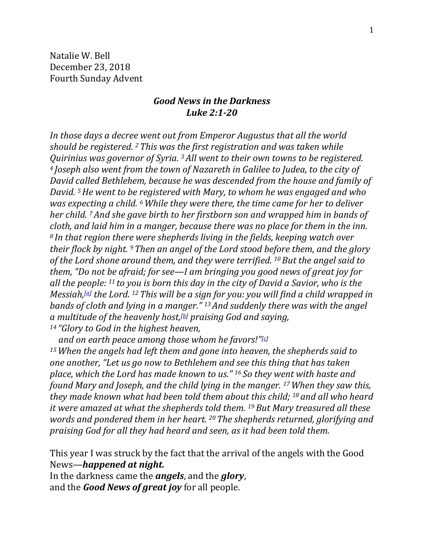Natalie W. Bell December 23, 2018 Fourth Sunday Advent

## *Good News in the Darkness Luke 2:1-20*

*In those days a decree went out from Emperor Augustus that all the world should be registered. <sup>2</sup> This was the first registration and was taken while Quirinius was governor of Syria. 3All went to their own towns to be registered. <sup>4</sup> Joseph also went from the town of Nazareth in Galilee to Judea, to the city of David called Bethlehem, because he was descended from the house and family of David. 5He went to be registered with Mary, to whom he was engaged and who was expecting a child. <sup>6</sup> While they were there, the time came for her to deliver her child. 7And she gave birth to her firstborn son and wrapped him in bands of cloth, and laid him in a manger, because there was no place for them in the inn. <sup>8</sup> In that region there were shepherds living in the fields, keeping watch over their flock by night. 9Then an angel of the Lord stood before them, and the glory of the Lord shone around them, and they were terrified. 10But the angel said to them, "Do not be afraid; for see—I am bringing you good news of great joy for all the people: <sup>11</sup> to you is born this day in the city of David a Savior, who is the Messiah,[\[a\]](https://www.biblegateway.com/passage/?search=Luke+2&version=NRSV#fen-NRSV-24977a) the Lord. <sup>12</sup> This will be a sign for you: you will find a child wrapped in bands of cloth and lying in a manger." 13And suddenly there was with the angel a multitude of the heavenly host,[\[b\]](https://www.biblegateway.com/passage/?search=Luke+2&version=NRSV#fen-NRSV-24979b) praising God and saying, <sup>14</sup> "Glory to God in the highest heaven,*

*and on earth peace among those whom he favors!"[\[c\]](https://www.biblegateway.com/passage/?search=Luke+2&version=NRSV#fen-NRSV-24980c) <sup>15</sup>When the angels had left them and gone into heaven, the shepherds said to one another, "Let us go now to Bethlehem and see this thing that has taken place, which the Lord has made known to us." <sup>16</sup> So they went with haste and found Mary and Joseph, and the child lying in the manger. 17When they saw this, they made known what had been told them about this child; <sup>18</sup> and all who heard it were amazed at what the shepherds told them. 19But Mary treasured all these words and pondered them in her heart. 20The shepherds returned, glorifying and praising God for all they had heard and seen, as it had been told them.*

This year I was struck by the fact that the arrival of the angels with the Good News—*happened at night.* 

In the darkness came the *angels*, and the *glory*, and the *Good News of great joy* for all people.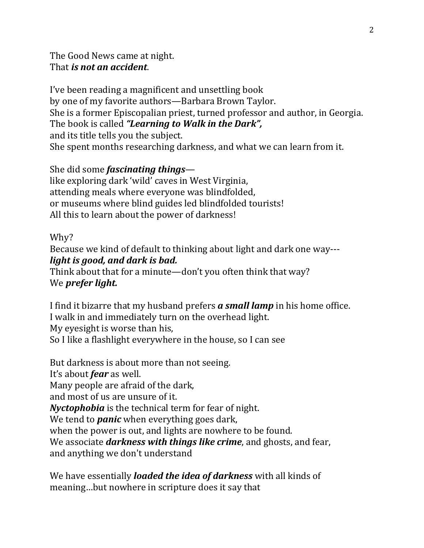The Good News came at night. That *is not an accident*.

I've been reading a magnificent and unsettling book by one of my favorite authors—Barbara Brown Taylor. She is a former Episcopalian priest, turned professor and author, in Georgia. The book is called *"Learning to Walk in the Dark",* and its title tells you the subject. She spent months researching darkness, and what we can learn from it.

She did some *fascinating things* like exploring dark 'wild' caves in West Virginia, attending meals where everyone was blindfolded, or museums where blind guides led blindfolded tourists! All this to learn about the power of darkness!

## Why?

Because we kind of default to thinking about light and dark one way-- *light is good, and dark is bad.* 

Think about that for a minute—don't you often think that way? We *prefer light.* 

I find it bizarre that my husband prefers *a small lamp* in his home office. I walk in and immediately turn on the overhead light. My eyesight is worse than his, So I like a flashlight everywhere in the house, so I can see

But darkness is about more than not seeing. It's about *fear* as well. Many people are afraid of the dark, and most of us are unsure of it. *Nyctophobia* is the technical term for fear of night. We tend to *panic* when everything goes dark, when the power is out, and lights are nowhere to be found. We associate *darkness with things like crime*, and ghosts, and fear, and anything we don't understand

We have essentially *loaded the idea of darkness* with all kinds of meaning…but nowhere in scripture does it say that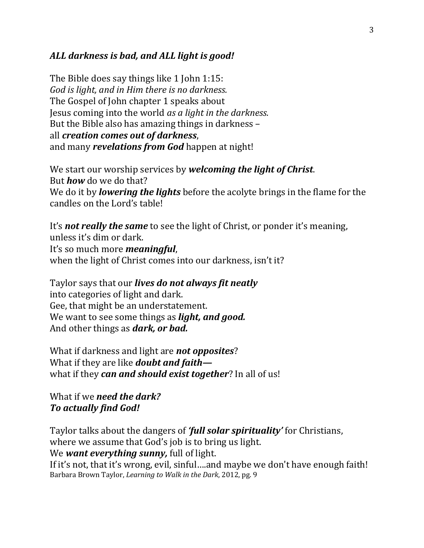## *ALL darkness is bad, and ALL light is good!*

The Bible does say things like 1 John 1:15: *God is light, and in Him there is no darkness.*  The Gospel of John chapter 1 speaks about Jesus coming into the world *as a light in the darkness.* But the Bible also has amazing things in darkness – all *creation comes out of darkness*, and many *revelations from God* happen at night!

We start our worship services by *welcoming the light of Christ*. But *how* do we do that? We do it by *lowering the lights* before the acolyte brings in the flame for the candles on the Lord's table!

It's *not really the same* to see the light of Christ, or ponder it's meaning, unless it's dim or dark. It's so much more *meaningful*, when the light of Christ comes into our darkness, isn't it?

Taylor says that our *lives do not always fit neatly* into categories of light and dark. Gee, that might be an understatement. We want to see some things as *light, and good.*  And other things as *dark, or bad.* 

What if darkness and light are *not opposites*? What if they are like *doubt and faith* what if they *can and should exist together*? In all of us!

What if we *need the dark? To actually find God!*

Taylor talks about the dangers of *'full solar spirituality'* for Christians, where we assume that God's job is to bring us light. We *want everything sunny,* full of light. If it's not, that it's wrong, evil, sinful….and maybe we don't have enough faith! Barbara Brown Taylor, *Learning to Walk in the Dark*, 2012, pg. 9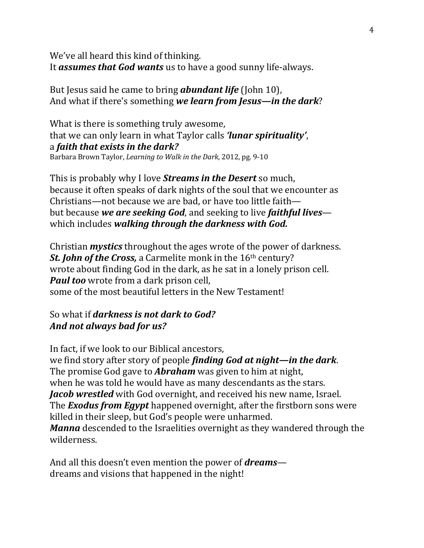We've all heard this kind of thinking. It *assumes that God wants* us to have a good sunny life-always.

But Jesus said he came to bring *abundant life* (John 10), And what if there's something *we learn from Jesus—in the dark*?

What is there is something truly awesome, that we can only learn in what Taylor calls *'lunar spirituality'*, a *faith that exists in the dark?*  Barbara Brown Taylor, *Learning to Walk in the Dark*, 2012, pg. 9-10

This is probably why I love *Streams in the Desert* so much, because it often speaks of dark nights of the soul that we encounter as Christians—not because we are bad, or have too little faith but because *we are seeking God*, and seeking to live *faithful lives* which includes *walking through the darkness with God.*

Christian *mystics* throughout the ages wrote of the power of darkness. **St. John of the Cross,** a Carmelite monk in the 16<sup>th</sup> century? wrote about finding God in the dark, as he sat in a lonely prison cell. *Paul too* wrote from a dark prison cell, some of the most beautiful letters in the New Testament!

## So what if *darkness is not dark to God? And not always bad for us?*

In fact, if we look to our Biblical ancestors, we find story after story of people *finding God at night—in the dark*. The promise God gave to *Abraham* was given to him at night, when he was told he would have as many descendants as the stars. *Jacob wrestled* with God overnight, and received his new name, Israel. The *Exodus from Egypt* happened overnight, after the firstborn sons were killed in their sleep, but God's people were unharmed. *Manna* descended to the Israelities overnight as they wandered through the wilderness.

And all this doesn't even mention the power of *dreams* dreams and visions that happened in the night!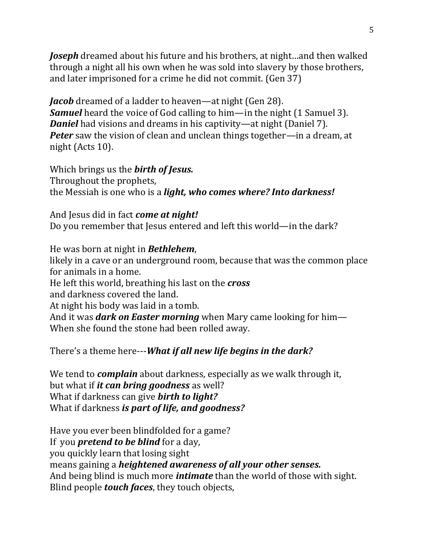*Joseph* dreamed about his future and his brothers, at night…and then walked through a night all his own when he was sold into slavery by those brothers, and later imprisoned for a crime he did not commit. (Gen 37)

*Jacob* dreamed of a ladder to heaven—at night (Gen 28). *Samuel* heard the voice of God calling to him—in the night (1 Samuel 3). *Daniel* had visions and dreams in his captivity—at night (Daniel 7). *Peter* saw the vision of clean and unclean things together—in a dream, at night (Acts 10).

Which brings us the *birth of Jesus.* Throughout the prophets, the Messiah is one who is a *light, who comes where? Into darkness!*

And Jesus did in fact *come at night!* Do you remember that Jesus entered and left this world—in the dark?

He was born at night in *Bethlehem*, likely in a cave or an underground room, because that was the common place for animals in a home. He left this world, breathing his last on the *cross* and darkness covered the land. At night his body was laid in a tomb. And it was *dark on Easter morning* when Mary came looking for him— When she found the stone had been rolled away.

There's a theme here---*What if all new life begins in the dark?* 

We tend to *complain* about darkness, especially as we walk through it, but what if *it can bring goodness* as well? What if darkness can give *birth to light?*  What if darkness *is part of life, and goodness?*

Have you ever been blindfolded for a game? If you *pretend to be blind* for a day, you quickly learn that losing sight means gaining a *heightened awareness of all your other senses.* And being blind is much more *intimate* than the world of those with sight. Blind people *touch faces*, they touch objects,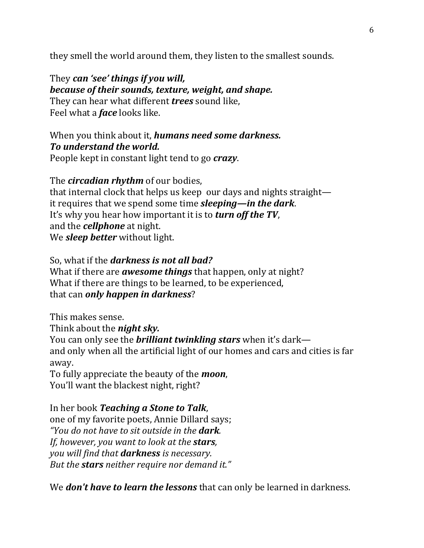they smell the world around them, they listen to the smallest sounds.

They *can 'see' things if you will, because of their sounds, texture, weight, and shape.*  They can hear what different *trees* sound like, Feel what a *face* looks like.

When you think about it, *humans need some darkness. To understand the world.* 

People kept in constant light tend to go *crazy*.

The *circadian rhythm* of our bodies,

that internal clock that helps us keep our days and nights straight it requires that we spend some time *sleeping—in the dark*. It's why you hear how important it is to *turn off the TV*, and the *cellphone* at night. We *sleep better* without light.

So, what if the *darkness is not all bad?* What if there are *awesome things* that happen, only at night? What if there are things to be learned, to be experienced, that can *only happen in darkness*?

This makes sense. Think about the *night sky.*  You can only see the *brilliant twinkling stars* when it's dark and only when all the artificial light of our homes and cars and cities is far away. To fully appreciate the beauty of the *moon*, You'll want the blackest night, right?

In her book *Teaching a Stone to Talk*, one of my favorite poets, Annie Dillard says; *"You do not have to sit outside in the dark. If, however, you want to look at the stars, you will find that darkness is necessary. But the stars neither require nor demand it."*

We *don't have to learn the lessons* that can only be learned in darkness.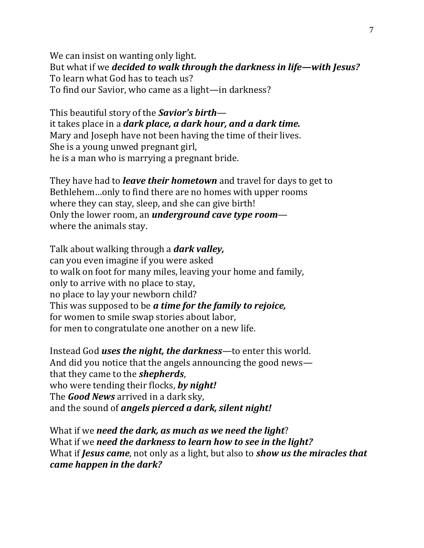We can insist on wanting only light. But what if we *decided to walk through the darkness in life—with Jesus?* To learn what God has to teach us? To find our Savior, who came as a light—in darkness?

This beautiful story of the *Savior's birth* it takes place in a *dark place, a dark hour, and a dark time.* Mary and Joseph have not been having the time of their lives. She is a young unwed pregnant girl, he is a man who is marrying a pregnant bride.

They have had to *leave their hometown* and travel for days to get to Bethlehem…only to find there are no homes with upper rooms where they can stay, sleep, and she can give birth! Only the lower room, an *underground cave type room* where the animals stay.

Talk about walking through a *dark valley,*  can you even imagine if you were asked to walk on foot for many miles, leaving your home and family, only to arrive with no place to stay, no place to lay your newborn child? This was supposed to be *a time for the family to rejoice,* for women to smile swap stories about labor, for men to congratulate one another on a new life.

Instead God *uses the night, the darkness*—to enter this world. And did you notice that the angels announcing the good news that they came to the *shepherds*, who were tending their flocks, *by night!* The *Good News* arrived in a dark sky, and the sound of *angels pierced a dark, silent night!*

What if we *need the dark, as much as we need the light*? What if we *need the darkness to learn how to see in the light?*  What if *Jesus came*, not only as a light, but also to *show us the miracles that came happen in the dark?*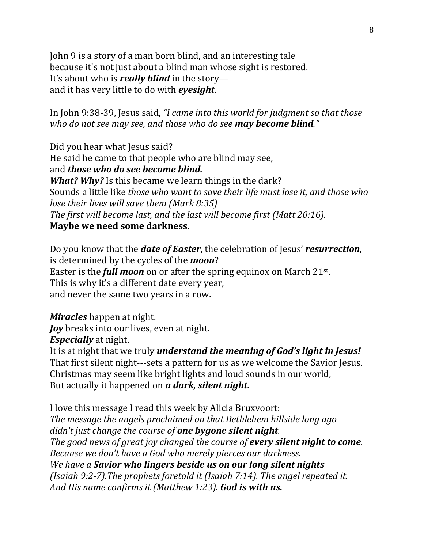John 9 is a story of a man born blind, and an interesting tale because it's not just about a blind man whose sight is restored. It's about who is *really blind* in the story and it has very little to do with *eyesight*.

In John 9:38-39, Jesus said, *"I came into this world for judgment so that those who do not see may see, and those who do see may become blind."*

Did you hear what Jesus said? He said he came to that people who are blind may see, and *those who do see become blind. What? Why?* Is this became we learn things in the dark? Sounds a little like *those who want to save their life must lose it, and those who lose their lives will save them (Mark 8:35) The first will become last, and the last will become first (Matt 20:16).* **Maybe we need some darkness.**

Do you know that the *date of Easter*, the celebration of Jesus' *resurrection*, is determined by the cycles of the *moon*? Easter is the *full moon* on or after the spring equinox on March 21<sup>st</sup>. This is why it's a different date every year, and never the same two years in a row.

*Miracles* happen at night. *Joy* breaks into our lives, even at night. *Especially* at night.

It is at night that we truly *understand the meaning of God's light in Jesus!* That first silent night---sets a pattern for us as we welcome the Savior Jesus. Christmas may seem like bright lights and loud sounds in our world, But actually it happened on *a dark, silent night.*

I love this message I read this week by Alicia Bruxvoort: *The message the angels proclaimed on that Bethlehem hillside long ago didn't just change the course of one bygone silent night. The good news of great joy changed the course of every silent night to come. Because we don't have a God who merely pierces our darkness. We have a Savior who lingers beside us on our long silent nights (Isaiah 9:2-7).The prophets foretold it (Isaiah 7:14). The angel repeated it. And His name confirms it (Matthew 1:23). God is with us.*